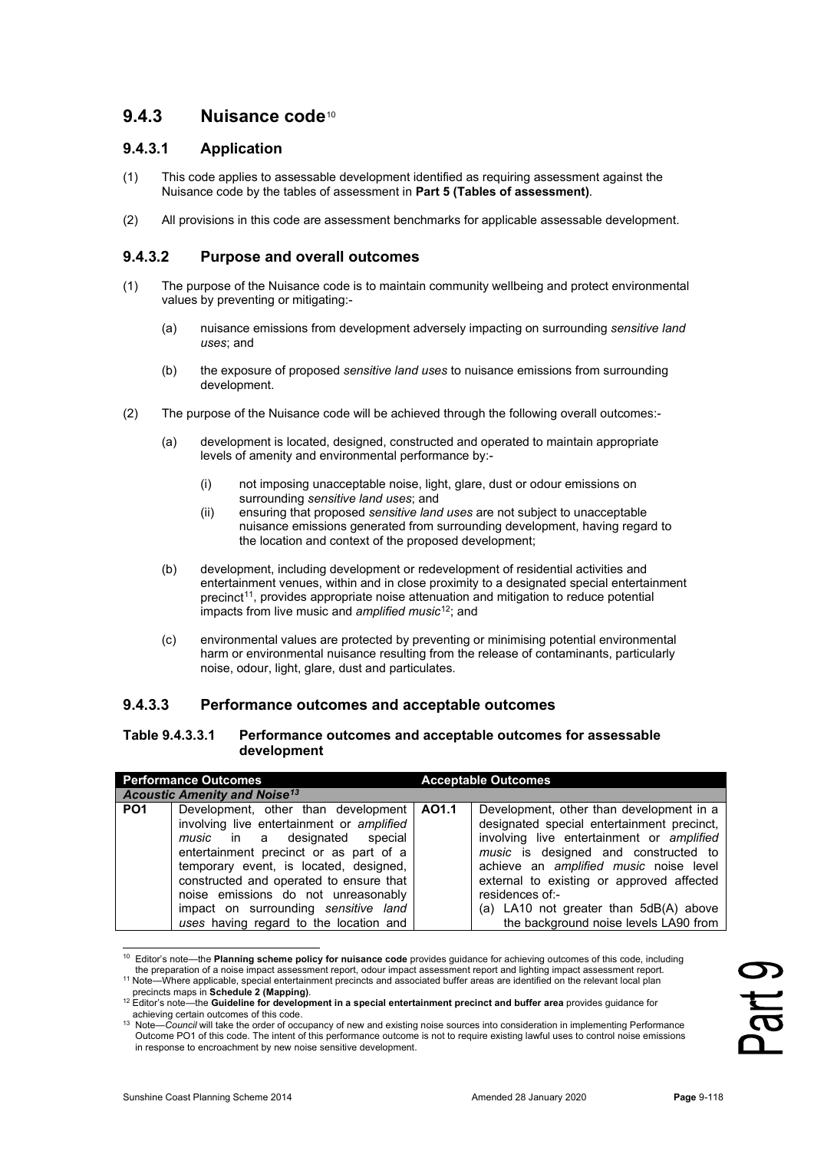# **9.4.3 Nuisance code**[10](#page-0-0)

## **9.4.3.1 Application**

- (1) This code applies to assessable development identified as requiring assessment against the Nuisance code by the tables of assessment in **Part 5 (Tables of assessment)**.
- (2) All provisions in this code are assessment benchmarks for applicable assessable development.

## **9.4.3.2 Purpose and overall outcomes**

- (1) The purpose of the Nuisance code is to maintain community wellbeing and protect environmental values by preventing or mitigating:-
	- (a) nuisance emissions from development adversely impacting on surrounding *sensitive land uses*; and
	- (b) the exposure of proposed *sensitive land uses* to nuisance emissions from surrounding development.
- (2) The purpose of the Nuisance code will be achieved through the following overall outcomes:-
	- (a) development is located, designed, constructed and operated to maintain appropriate levels of amenity and environmental performance by:-
		- (i) not imposing unacceptable noise, light, glare, dust or odour emissions on surrounding *sensitive land uses*; and
		- (ii) ensuring that proposed *sensitive land uses* are not subject to unacceptable nuisance emissions generated from surrounding development, having regard to the location and context of the proposed development;
	- (b) development, including development or redevelopment of residential activities and entertainment venues, within and in close proximity to a designated special entertainment precinct[11](#page-0-1), provides appropriate noise attenuation and mitigation to reduce potential impacts from live music and *amplified music*[12](#page-0-2); and
	- (c) environmental values are protected by preventing or minimising potential environmental harm or environmental nuisance resulting from the release of contaminants, particularly noise, odour, light, glare, dust and particulates.

#### **9.4.3.3 Performance outcomes and acceptable outcomes**

#### **Table 9.4.3.3.1 Performance outcomes and acceptable outcomes for assessable development**

| <b>Performance Outcomes</b> |                                                                                                                                                                                                                                                                                                                                                                                          | <b>Acceptable Outcomes</b> |                                                                                                                                                                                                                                                                                                                                                                          |
|-----------------------------|------------------------------------------------------------------------------------------------------------------------------------------------------------------------------------------------------------------------------------------------------------------------------------------------------------------------------------------------------------------------------------------|----------------------------|--------------------------------------------------------------------------------------------------------------------------------------------------------------------------------------------------------------------------------------------------------------------------------------------------------------------------------------------------------------------------|
|                             | <b>Acoustic Amenity and Noise<sup>13</sup></b>                                                                                                                                                                                                                                                                                                                                           |                            |                                                                                                                                                                                                                                                                                                                                                                          |
| PO <sub>1</sub>             | Development, other than development   AO1.1<br>involving live entertainment or amplified<br><i>music</i> in a designated special<br>entertainment precinct or as part of a<br>temporary event, is located, designed,<br>constructed and operated to ensure that<br>noise emissions do not unreasonably<br>impact on surrounding sensitive land<br>uses having regard to the location and |                            | Development, other than development in a<br>designated special entertainment precinct,<br>involving live entertainment or amplified<br>music is designed and constructed to<br>achieve an amplified music noise level<br>external to existing or approved affected<br>residences of:-<br>(a) LA10 not greater than 5dB(A) above<br>the background noise levels LA90 from |

<span id="page-0-0"></span><sup>&</sup>lt;sup>10</sup> Editor's note—the **Planning scheme policy for nuisance code** provides guidance for achieving outcomes of this code, including<br>the preparation of a noise impact assessment report, odour impact assessment report and lig

Part 9

<sup>11</sup> Note—Where applicable, special entertainment precincts and associated buffer areas are identified on the relevant local plan

<span id="page-0-1"></span>precincts maps in **Schedule 2 (Mapping)**.

<span id="page-0-2"></span><sup>12</sup> Editor's note—the **Guideline for development in a special entertainment precinct and buffer area** provides guidance for achieving certain outcomes of this code.

<span id="page-0-3"></span><sup>13</sup> Note—*Council* will take the order of occupancy of new and existing noise sources into consideration in implementing Performance Outcome PO1 of this code. The intent of this performance outcome is not to require existing lawful uses to control noise emissions in response to encroachment by new noise sensitive development.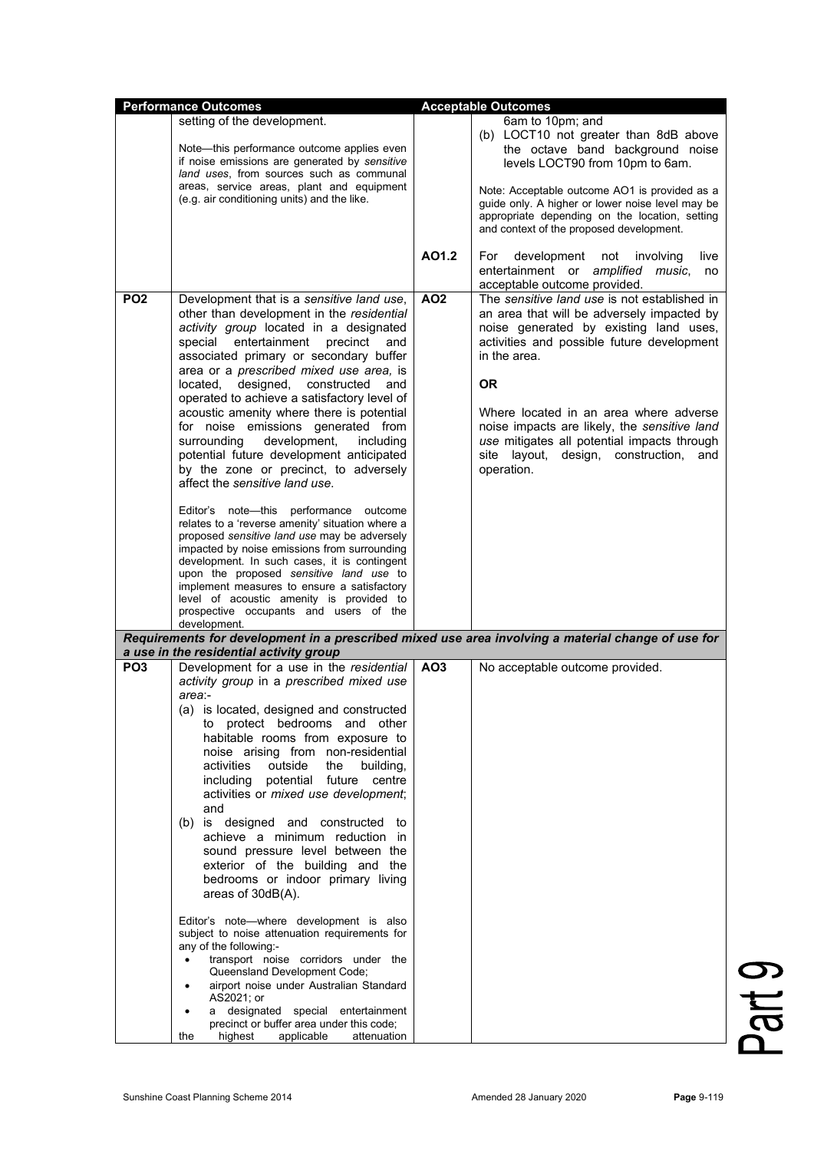|                                                                                                                                                                                                                                                                                                                                                                                                                                                                                                                                                                                                                                                                                                                                                                                                                                                                                     |                                                                                                                      | <b>Acceptable Outcomes</b>                                                                                                                                                                                                                                                                                                                                                                                          |
|-------------------------------------------------------------------------------------------------------------------------------------------------------------------------------------------------------------------------------------------------------------------------------------------------------------------------------------------------------------------------------------------------------------------------------------------------------------------------------------------------------------------------------------------------------------------------------------------------------------------------------------------------------------------------------------------------------------------------------------------------------------------------------------------------------------------------------------------------------------------------------------|----------------------------------------------------------------------------------------------------------------------|---------------------------------------------------------------------------------------------------------------------------------------------------------------------------------------------------------------------------------------------------------------------------------------------------------------------------------------------------------------------------------------------------------------------|
| setting of the development.<br>Note—this performance outcome applies even<br>if noise emissions are generated by sensitive<br>land uses, from sources such as communal<br>areas, service areas, plant and equipment<br>(e.g. air conditioning units) and the like.                                                                                                                                                                                                                                                                                                                                                                                                                                                                                                                                                                                                                  |                                                                                                                      | 6am to 10pm; and<br>(b) LOCT10 not greater than 8dB above<br>the octave band background noise<br>levels LOCT90 from 10pm to 6am.<br>Note: Acceptable outcome AO1 is provided as a<br>guide only. A higher or lower noise level may be<br>appropriate depending on the location, setting<br>and context of the proposed development.                                                                                 |
|                                                                                                                                                                                                                                                                                                                                                                                                                                                                                                                                                                                                                                                                                                                                                                                                                                                                                     | AO1.2                                                                                                                | development not involving<br>For<br>live<br>entertainment or amplified music,<br>no<br>acceptable outcome provided.                                                                                                                                                                                                                                                                                                 |
| Development that is a sensitive land use,<br>other than development in the residential<br>activity group located in a designated<br>special entertainment precinct<br>and<br>associated primary or secondary buffer<br>area or a prescribed mixed use area, is<br>located, designed, constructed and<br>operated to achieve a satisfactory level of<br>acoustic amenity where there is potential<br>for noise emissions generated from<br>development,<br>including<br>potential future development anticipated<br>by the zone or precinct, to adversely<br>affect the sensitive land use.<br>Editor's note-this performance outcome<br>relates to a 'reverse amenity' situation where a<br>proposed sensitive land use may be adversely<br>impacted by noise emissions from surrounding<br>development. In such cases, it is contingent<br>upon the proposed sensitive land use to | <b>AO2</b>                                                                                                           | The sensitive land use is not established in<br>an area that will be adversely impacted by<br>noise generated by existing land uses,<br>activities and possible future development<br>in the area.<br><b>OR</b><br>Where located in an area where adverse<br>noise impacts are likely, the sensitive land<br>use mitigates all potential impacts through<br>site layout, design, construction,<br>and<br>operation. |
| level of acoustic amenity is provided to<br>prospective occupants and users of the                                                                                                                                                                                                                                                                                                                                                                                                                                                                                                                                                                                                                                                                                                                                                                                                  |                                                                                                                      |                                                                                                                                                                                                                                                                                                                                                                                                                     |
|                                                                                                                                                                                                                                                                                                                                                                                                                                                                                                                                                                                                                                                                                                                                                                                                                                                                                     |                                                                                                                      | Requirements for development in a prescribed mixed use area involving a material change of use for                                                                                                                                                                                                                                                                                                                  |
| a use in the residential activity group<br>Development for a use in the residential<br>activity group in a prescribed mixed use<br>(a) is located, designed and constructed<br>to protect bedrooms and other<br>habitable rooms from exposure to<br>noise arising from non-residential<br>outside<br>the<br>building,<br>potential<br>future<br>centre<br>activities or mixed use development;<br>(b) is designed and constructed to<br>achieve a minimum reduction in<br>sound pressure level between the<br>exterior of the building and the<br>bedrooms or indoor primary living<br>areas of 30dB(A).<br>Editor's note-where development is also<br>subject to noise attenuation requirements for<br>transport noise corridors under the<br>Queensland Development Code;<br>airport noise under Australian Standard<br>a designated special entertainment                        | AO <sub>3</sub>                                                                                                      | No acceptable outcome provided.                                                                                                                                                                                                                                                                                                                                                                                     |
|                                                                                                                                                                                                                                                                                                                                                                                                                                                                                                                                                                                                                                                                                                                                                                                                                                                                                     | implement measures to ensure a satisfactory<br>precinct or buffer area under this code;<br>applicable<br>attenuation |                                                                                                                                                                                                                                                                                                                                                                                                                     |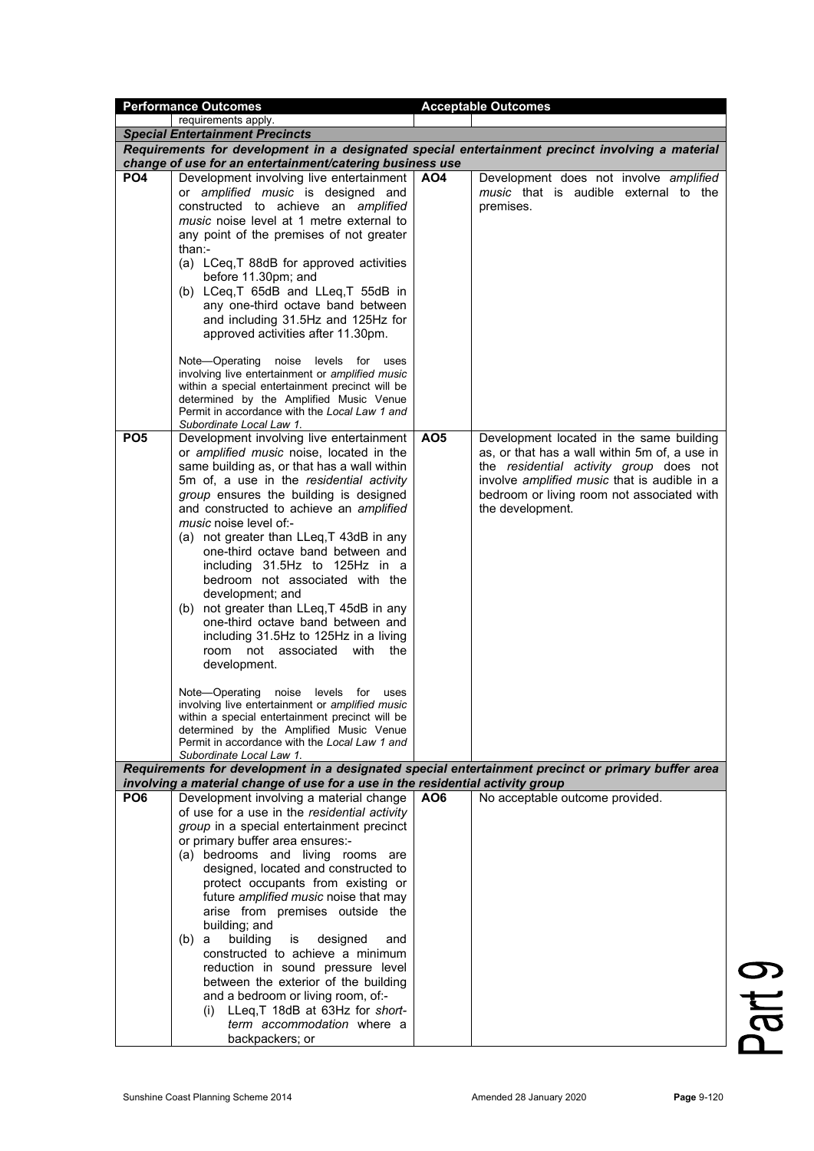|                                                                                | <b>Performance Outcomes</b>                                                                |                 | <b>Acceptable Outcomes</b>                                                                         |  |
|--------------------------------------------------------------------------------|--------------------------------------------------------------------------------------------|-----------------|----------------------------------------------------------------------------------------------------|--|
|                                                                                | requirements apply.                                                                        |                 |                                                                                                    |  |
|                                                                                | <b>Special Entertainment Precincts</b>                                                     |                 |                                                                                                    |  |
|                                                                                |                                                                                            |                 | Requirements for development in a designated special entertainment precinct involving a material   |  |
|                                                                                | change of use for an entertainment/catering business use                                   |                 |                                                                                                    |  |
| PO <sub>4</sub>                                                                | Development involving live entertainment<br>or amplified music is designed and             | AO4             | Development does not involve amplified<br>music that is audible external to the                    |  |
|                                                                                | constructed to achieve an amplified                                                        |                 | premises.                                                                                          |  |
|                                                                                | music noise level at 1 metre external to                                                   |                 |                                                                                                    |  |
|                                                                                | any point of the premises of not greater                                                   |                 |                                                                                                    |  |
|                                                                                | than:-                                                                                     |                 |                                                                                                    |  |
|                                                                                | (a) LCeq, T 88dB for approved activities<br>before 11.30pm; and                            |                 |                                                                                                    |  |
|                                                                                | (b) LCeq,T 65dB and LLeq,T 55dB in                                                         |                 |                                                                                                    |  |
|                                                                                | any one-third octave band between                                                          |                 |                                                                                                    |  |
|                                                                                | and including 31.5Hz and 125Hz for                                                         |                 |                                                                                                    |  |
|                                                                                | approved activities after 11.30pm.                                                         |                 |                                                                                                    |  |
|                                                                                |                                                                                            |                 |                                                                                                    |  |
|                                                                                | Note-Operating<br>noise<br>levels<br>for<br>uses                                           |                 |                                                                                                    |  |
|                                                                                | involving live entertainment or amplified music                                            |                 |                                                                                                    |  |
|                                                                                | within a special entertainment precinct will be<br>determined by the Amplified Music Venue |                 |                                                                                                    |  |
|                                                                                | Permit in accordance with the Local Law 1 and                                              |                 |                                                                                                    |  |
|                                                                                | Subordinate Local Law 1.                                                                   |                 |                                                                                                    |  |
| PO <sub>5</sub>                                                                | Development involving live entertainment                                                   | AO <sub>5</sub> | Development located in the same building                                                           |  |
|                                                                                | or amplified music noise, located in the                                                   |                 | as, or that has a wall within 5m of, a use in                                                      |  |
|                                                                                | same building as, or that has a wall within                                                |                 | the residential activity group does not                                                            |  |
|                                                                                | 5m of, a use in the residential activity                                                   |                 | involve <i>amplified music</i> that is audible in a<br>bedroom or living room not associated with  |  |
|                                                                                | group ensures the building is designed<br>and constructed to achieve an amplified          |                 | the development.                                                                                   |  |
|                                                                                | <i>music</i> noise level of:-                                                              |                 |                                                                                                    |  |
|                                                                                | (a) not greater than LLeq, T 43dB in any                                                   |                 |                                                                                                    |  |
|                                                                                | one-third octave band between and                                                          |                 |                                                                                                    |  |
|                                                                                | including 31.5Hz to 125Hz in a                                                             |                 |                                                                                                    |  |
|                                                                                | bedroom not associated with the                                                            |                 |                                                                                                    |  |
|                                                                                | development; and                                                                           |                 |                                                                                                    |  |
|                                                                                | (b) not greater than LLeq, T 45dB in any                                                   |                 |                                                                                                    |  |
|                                                                                | one-third octave band between and                                                          |                 |                                                                                                    |  |
|                                                                                | including 31.5Hz to 125Hz in a living                                                      |                 |                                                                                                    |  |
|                                                                                | room not associated with the                                                               |                 |                                                                                                    |  |
|                                                                                | development.                                                                               |                 |                                                                                                    |  |
|                                                                                | Note-Operating noise levels for<br>uses                                                    |                 |                                                                                                    |  |
|                                                                                | involving live entertainment or amplified music                                            |                 |                                                                                                    |  |
|                                                                                | within a special entertainment precinct will be                                            |                 |                                                                                                    |  |
|                                                                                | determined by the Amplified Music Venue<br>Permit in accordance with the Local Law 1 and   |                 |                                                                                                    |  |
|                                                                                | Subordinate Local Law 1.                                                                   |                 |                                                                                                    |  |
|                                                                                |                                                                                            |                 | Requirements for development in a designated special entertainment precinct or primary buffer area |  |
| involving a material change of use for a use in the residential activity group |                                                                                            |                 |                                                                                                    |  |
| PO <sub>6</sub>                                                                | Development involving a material change                                                    | AO6             | No acceptable outcome provided.                                                                    |  |
|                                                                                | of use for a use in the residential activity                                               |                 |                                                                                                    |  |
|                                                                                | group in a special entertainment precinct                                                  |                 |                                                                                                    |  |
|                                                                                | or primary buffer area ensures:-                                                           |                 |                                                                                                    |  |
|                                                                                | (a) bedrooms and living rooms are<br>designed, located and constructed to                  |                 |                                                                                                    |  |
|                                                                                | protect occupants from existing or                                                         |                 |                                                                                                    |  |
|                                                                                | future amplified music noise that may                                                      |                 |                                                                                                    |  |
|                                                                                | arise from premises outside the                                                            |                 |                                                                                                    |  |
|                                                                                | building; and                                                                              |                 |                                                                                                    |  |
|                                                                                | building<br>is<br>designed<br>(b) a<br>and                                                 |                 |                                                                                                    |  |
|                                                                                | constructed to achieve a minimum                                                           |                 |                                                                                                    |  |
|                                                                                | reduction in sound pressure level                                                          |                 |                                                                                                    |  |
|                                                                                | between the exterior of the building                                                       |                 |                                                                                                    |  |
|                                                                                | and a bedroom or living room, of:-                                                         |                 |                                                                                                    |  |
|                                                                                | (i) LLeq, T 18dB at 63Hz for short-                                                        |                 |                                                                                                    |  |
|                                                                                | term accommodation where a                                                                 |                 |                                                                                                    |  |
|                                                                                | backpackers; or                                                                            |                 |                                                                                                    |  |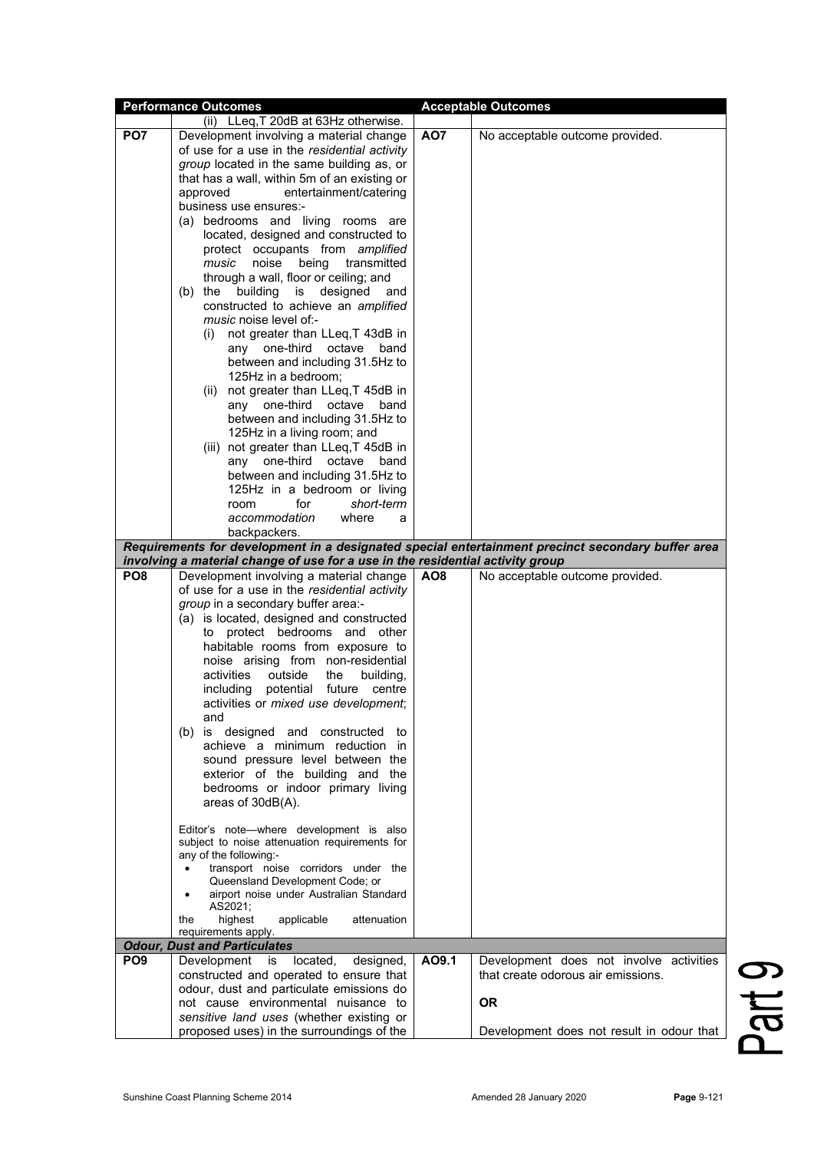|                 | <b>Performance Outcomes</b>                                                    |                 | <b>Acceptable Outcomes</b>                                                                        |
|-----------------|--------------------------------------------------------------------------------|-----------------|---------------------------------------------------------------------------------------------------|
|                 | (ii) LLeq, T 20dB at 63Hz otherwise.                                           |                 |                                                                                                   |
| PO <sub>7</sub> | Development involving a material change                                        | AO7             | No acceptable outcome provided.                                                                   |
|                 | of use for a use in the residential activity                                   |                 |                                                                                                   |
|                 | group located in the same building as, or                                      |                 |                                                                                                   |
|                 | that has a wall, within 5m of an existing or                                   |                 |                                                                                                   |
|                 | entertainment/catering<br>approved                                             |                 |                                                                                                   |
|                 | business use ensures:-                                                         |                 |                                                                                                   |
|                 | (a) bedrooms and living rooms are                                              |                 |                                                                                                   |
|                 | located, designed and constructed to                                           |                 |                                                                                                   |
|                 | protect occupants from amplified                                               |                 |                                                                                                   |
|                 | noise<br>transmitted<br>music<br>being                                         |                 |                                                                                                   |
|                 | through a wall, floor or ceiling; and                                          |                 |                                                                                                   |
|                 | building<br>is designed<br>$(b)$ the<br>and                                    |                 |                                                                                                   |
|                 | constructed to achieve an amplified                                            |                 |                                                                                                   |
|                 | music noise level of:-                                                         |                 |                                                                                                   |
|                 | not greater than LLeq, T 43dB in<br>(i)                                        |                 |                                                                                                   |
|                 | any one-third<br>octave<br>band                                                |                 |                                                                                                   |
|                 | between and including 31.5Hz to<br>125Hz in a bedroom:                         |                 |                                                                                                   |
|                 | (ii) not greater than LLeq, T 45dB in                                          |                 |                                                                                                   |
|                 | any one-third<br>octave<br>band                                                |                 |                                                                                                   |
|                 | between and including 31.5Hz to                                                |                 |                                                                                                   |
|                 | 125Hz in a living room; and                                                    |                 |                                                                                                   |
|                 | (iii) not greater than LLeq, T 45dB in                                         |                 |                                                                                                   |
|                 | any one-third<br>octave<br>band                                                |                 |                                                                                                   |
|                 | between and including 31.5Hz to                                                |                 |                                                                                                   |
|                 | 125Hz in a bedroom or living                                                   |                 |                                                                                                   |
|                 | for<br>short-term<br>room                                                      |                 |                                                                                                   |
|                 | accommodation<br>where<br>a                                                    |                 |                                                                                                   |
|                 | backpackers.                                                                   |                 |                                                                                                   |
|                 |                                                                                |                 | Requirements for development in a designated special entertainment precinct secondary buffer area |
|                 | involving a material change of use for a use in the residential activity group |                 |                                                                                                   |
| PO <sub>8</sub> | Development involving a material change                                        | AO <sub>8</sub> | No acceptable outcome provided.                                                                   |
|                 | of use for a use in the residential activity                                   |                 |                                                                                                   |
|                 | group in a secondary buffer area:-                                             |                 |                                                                                                   |
|                 | (a) is located, designed and constructed                                       |                 |                                                                                                   |
|                 | to protect bedrooms and other                                                  |                 |                                                                                                   |
|                 | habitable rooms from exposure to                                               |                 |                                                                                                   |
|                 | noise arising from non-residential                                             |                 |                                                                                                   |
|                 | activities<br>outside<br>building,<br>the<br>including                         |                 |                                                                                                   |
|                 | potential future<br>centre                                                     |                 |                                                                                                   |
|                 | activities or mixed use development;<br>and                                    |                 |                                                                                                   |
|                 | (b) is designed and constructed to                                             |                 |                                                                                                   |
|                 | achieve a minimum reduction in                                                 |                 |                                                                                                   |
|                 | sound pressure level between the                                               |                 |                                                                                                   |
|                 | exterior of the building and the                                               |                 |                                                                                                   |
|                 | bedrooms or indoor primary living                                              |                 |                                                                                                   |
|                 | areas of 30dB(A).                                                              |                 |                                                                                                   |
|                 |                                                                                |                 |                                                                                                   |
|                 | Editor's note-where development is also                                        |                 |                                                                                                   |
|                 | subject to noise attenuation requirements for                                  |                 |                                                                                                   |
|                 | any of the following:-                                                         |                 |                                                                                                   |
|                 | transport noise corridors under the<br>Queensland Development Code; or         |                 |                                                                                                   |
|                 | airport noise under Australian Standard                                        |                 |                                                                                                   |
|                 | AS2021;                                                                        |                 |                                                                                                   |
|                 | highest<br>applicable<br>attenuation<br>the                                    |                 |                                                                                                   |
|                 | requirements apply.                                                            |                 |                                                                                                   |
|                 | <b>Odour, Dust and Particulates</b>                                            |                 |                                                                                                   |
| PO <sub>9</sub> | Development<br>located,<br>designed,<br>is                                     | AO9.1           | Development does not involve activities                                                           |
|                 | constructed and operated to ensure that                                        |                 | that create odorous air emissions.                                                                |
|                 | odour, dust and particulate emissions do                                       |                 |                                                                                                   |
|                 | not cause environmental nuisance to                                            |                 | <b>OR</b>                                                                                         |
|                 | sensitive land uses (whether existing or                                       |                 |                                                                                                   |
|                 | proposed uses) in the surroundings of the                                      |                 | Development does not result in odour that                                                         |

Part 9